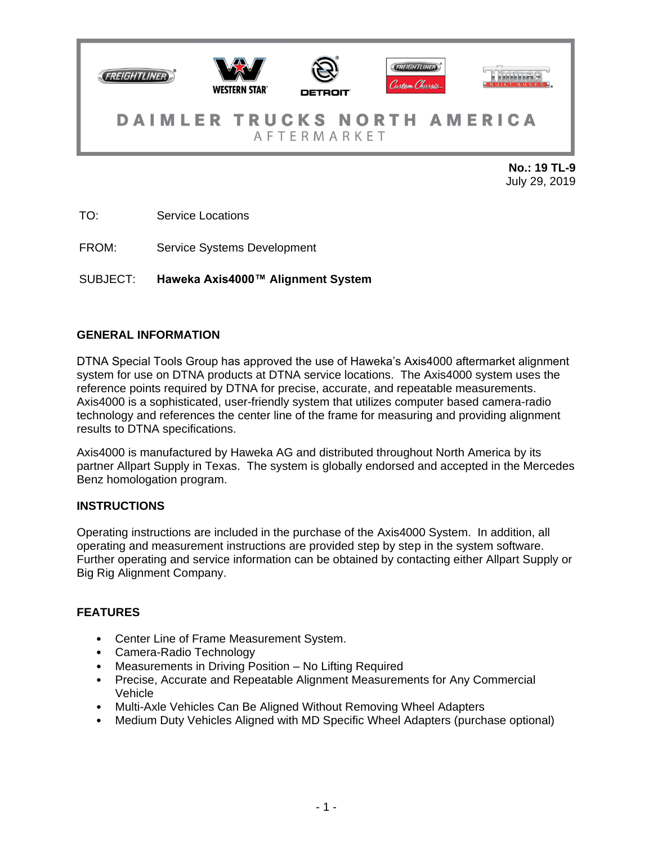

July 29, 2019

TO: Service Locations

FROM: Service Systems Development

SUBJECT: **Haweka Axis4000™ Alignment System**

### **GENERAL INFORMATION**

DTNA Special Tools Group has approved the use of Haweka's Axis4000 aftermarket alignment system for use on DTNA products at DTNA service locations. The Axis4000 system uses the reference points required by DTNA for precise, accurate, and repeatable measurements. Axis4000 is a sophisticated, user-friendly system that utilizes computer based camera-radio technology and references the center line of the frame for measuring and providing alignment results to DTNA specifications.

Axis4000 is manufactured by Haweka AG and distributed throughout North America by its partner Allpart Supply in Texas. The system is globally endorsed and accepted in the Mercedes Benz homologation program.

### **INSTRUCTIONS**

Operating instructions are included in the purchase of the Axis4000 System. In addition, all operating and measurement instructions are provided step by step in the system software. Further operating and service information can be obtained by contacting either Allpart Supply or Big Rig Alignment Company.

# **FEATURES**

- Center Line of Frame Measurement System.
- Camera-Radio Technology
- Measurements in Driving Position No Lifting Required
- Precise, Accurate and Repeatable Alignment Measurements for Any Commercial Vehicle
- Multi-Axle Vehicles Can Be Aligned Without Removing Wheel Adapters
- Medium Duty Vehicles Aligned with MD Specific Wheel Adapters (purchase optional)